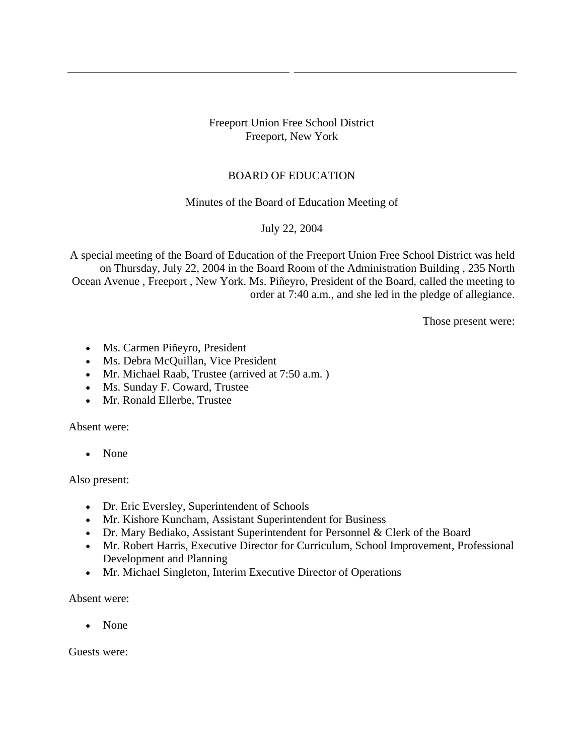### Freeport Union Free School District Freeport, New York

# BOARD OF EDUCATION

### Minutes of the Board of Education Meeting of

### July 22, 2004

A special meeting of the Board of Education of the Freeport Union Free School District was held on Thursday, July 22, 2004 in the Board Room of the Administration Building , 235 North Ocean Avenue , Freeport , New York. Ms. Piñeyro, President of the Board, called the meeting to order at 7:40 a.m., and she led in the pledge of allegiance.

Those present were:

- Ms. Carmen Piñeyro, President
- Ms. Debra McQuillan, Vice President
- Mr. Michael Raab, Trustee (arrived at 7:50 a.m.)
- Ms. Sunday F. Coward, Trustee
- Mr. Ronald Ellerbe, Trustee

Absent were:

• None

#### Also present:

- Dr. Eric Eversley, Superintendent of Schools
- Mr. Kishore Kuncham, Assistant Superintendent for Business
- Dr. Mary Bediako, Assistant Superintendent for Personnel & Clerk of the Board
- Mr. Robert Harris, Executive Director for Curriculum, School Improvement, Professional Development and Planning
- Mr. Michael Singleton, Interim Executive Director of Operations

Absent were:

• None

Guests were: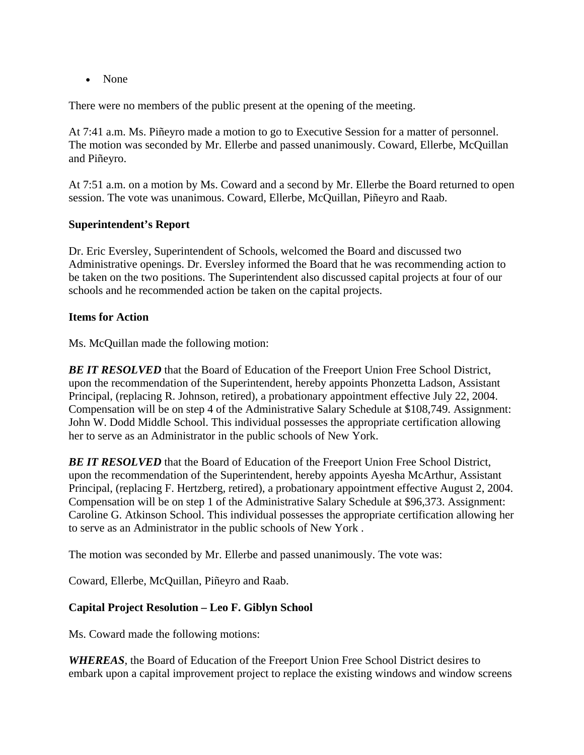• None

There were no members of the public present at the opening of the meeting.

At 7:41 a.m. Ms. Piñeyro made a motion to go to Executive Session for a matter of personnel. The motion was seconded by Mr. Ellerbe and passed unanimously. Coward, Ellerbe, McQuillan and Piñeyro.

At 7:51 a.m. on a motion by Ms. Coward and a second by Mr. Ellerbe the Board returned to open session. The vote was unanimous. Coward, Ellerbe, McQuillan, Piñeyro and Raab.

### **Superintendent's Report**

Dr. Eric Eversley, Superintendent of Schools, welcomed the Board and discussed two Administrative openings. Dr. Eversley informed the Board that he was recommending action to be taken on the two positions. The Superintendent also discussed capital projects at four of our schools and he recommended action be taken on the capital projects.

### **Items for Action**

Ms. McQuillan made the following motion:

**BE IT RESOLVED** that the Board of Education of the Freeport Union Free School District, upon the recommendation of the Superintendent, hereby appoints Phonzetta Ladson, Assistant Principal, (replacing R. Johnson, retired), a probationary appointment effective July 22, 2004. Compensation will be on step 4 of the Administrative Salary Schedule at \$108,749. Assignment: John W. Dodd Middle School. This individual possesses the appropriate certification allowing her to serve as an Administrator in the public schools of New York.

**BE IT RESOLVED** that the Board of Education of the Freeport Union Free School District, upon the recommendation of the Superintendent, hereby appoints Ayesha McArthur, Assistant Principal, (replacing F. Hertzberg, retired), a probationary appointment effective August 2, 2004. Compensation will be on step 1 of the Administrative Salary Schedule at \$96,373. Assignment: Caroline G. Atkinson School. This individual possesses the appropriate certification allowing her to serve as an Administrator in the public schools of New York .

The motion was seconded by Mr. Ellerbe and passed unanimously. The vote was:

Coward, Ellerbe, McQuillan, Piñeyro and Raab.

# **Capital Project Resolution – Leo F. Giblyn School**

Ms. Coward made the following motions:

*WHEREAS*, the Board of Education of the Freeport Union Free School District desires to embark upon a capital improvement project to replace the existing windows and window screens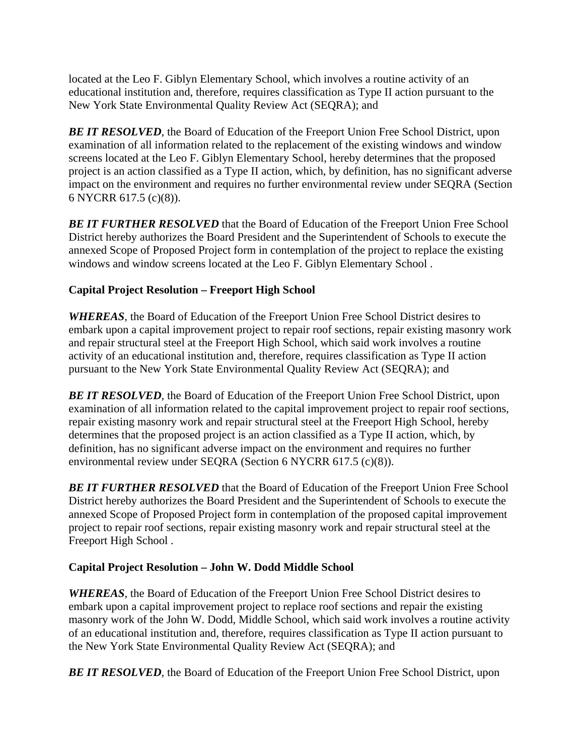located at the Leo F. Giblyn Elementary School, which involves a routine activity of an educational institution and, therefore, requires classification as Type II action pursuant to the New York State Environmental Quality Review Act (SEQRA); and

**BE IT RESOLVED**, the Board of Education of the Freeport Union Free School District, upon examination of all information related to the replacement of the existing windows and window screens located at the Leo F. Giblyn Elementary School, hereby determines that the proposed project is an action classified as a Type II action, which, by definition, has no significant adverse impact on the environment and requires no further environmental review under SEQRA (Section 6 NYCRR 617.5 (c)(8)).

**BE IT FURTHER RESOLVED** that the Board of Education of the Freeport Union Free School District hereby authorizes the Board President and the Superintendent of Schools to execute the annexed Scope of Proposed Project form in contemplation of the project to replace the existing windows and window screens located at the Leo F. Giblyn Elementary School .

# **Capital Project Resolution – Freeport High School**

*WHEREAS*, the Board of Education of the Freeport Union Free School District desires to embark upon a capital improvement project to repair roof sections, repair existing masonry work and repair structural steel at the Freeport High School, which said work involves a routine activity of an educational institution and, therefore, requires classification as Type II action pursuant to the New York State Environmental Quality Review Act (SEQRA); and

**BE IT RESOLVED**, the Board of Education of the Freeport Union Free School District, upon examination of all information related to the capital improvement project to repair roof sections, repair existing masonry work and repair structural steel at the Freeport High School, hereby determines that the proposed project is an action classified as a Type II action, which, by definition, has no significant adverse impact on the environment and requires no further environmental review under SEQRA (Section 6 NYCRR 617.5 (c)(8)).

**BE IT FURTHER RESOLVED** that the Board of Education of the Freeport Union Free School District hereby authorizes the Board President and the Superintendent of Schools to execute the annexed Scope of Proposed Project form in contemplation of the proposed capital improvement project to repair roof sections, repair existing masonry work and repair structural steel at the Freeport High School .

# **Capital Project Resolution – John W. Dodd Middle School**

*WHEREAS*, the Board of Education of the Freeport Union Free School District desires to embark upon a capital improvement project to replace roof sections and repair the existing masonry work of the John W. Dodd, Middle School, which said work involves a routine activity of an educational institution and, therefore, requires classification as Type II action pursuant to the New York State Environmental Quality Review Act (SEQRA); and

**BE IT RESOLVED**, the Board of Education of the Freeport Union Free School District, upon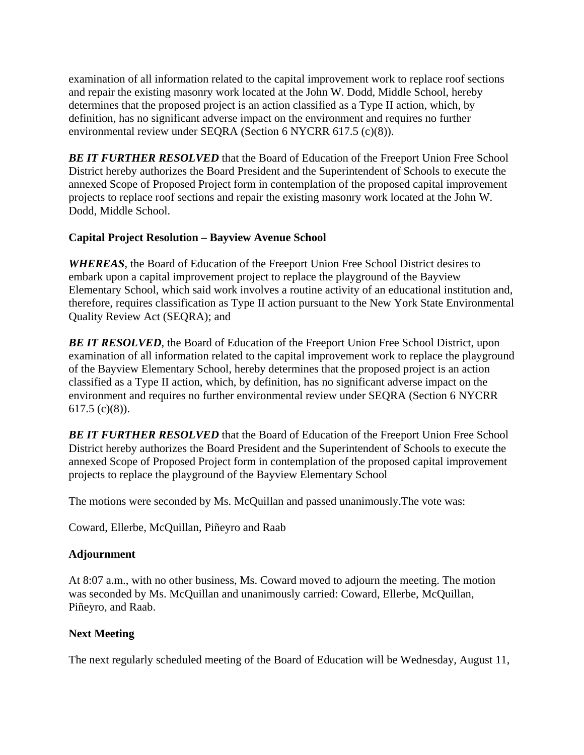examination of all information related to the capital improvement work to replace roof sections and repair the existing masonry work located at the John W. Dodd, Middle School, hereby determines that the proposed project is an action classified as a Type II action, which, by definition, has no significant adverse impact on the environment and requires no further environmental review under SEQRA (Section 6 NYCRR 617.5 (c)(8)).

**BE IT FURTHER RESOLVED** that the Board of Education of the Freeport Union Free School District hereby authorizes the Board President and the Superintendent of Schools to execute the annexed Scope of Proposed Project form in contemplation of the proposed capital improvement projects to replace roof sections and repair the existing masonry work located at the John W. Dodd, Middle School.

### **Capital Project Resolution – Bayview Avenue School**

*WHEREAS*, the Board of Education of the Freeport Union Free School District desires to embark upon a capital improvement project to replace the playground of the Bayview Elementary School, which said work involves a routine activity of an educational institution and, therefore, requires classification as Type II action pursuant to the New York State Environmental Quality Review Act (SEQRA); and

**BE IT RESOLVED**, the Board of Education of the Freeport Union Free School District, upon examination of all information related to the capital improvement work to replace the playground of the Bayview Elementary School, hereby determines that the proposed project is an action classified as a Type II action, which, by definition, has no significant adverse impact on the environment and requires no further environmental review under SEQRA (Section 6 NYCRR 617.5 (c)(8)).

**BE IT FURTHER RESOLVED** that the Board of Education of the Freeport Union Free School District hereby authorizes the Board President and the Superintendent of Schools to execute the annexed Scope of Proposed Project form in contemplation of the proposed capital improvement projects to replace the playground of the Bayview Elementary School

The motions were seconded by Ms. McQuillan and passed unanimously.The vote was:

Coward, Ellerbe, McQuillan, Piñeyro and Raab

# **Adjournment**

At 8:07 a.m., with no other business, Ms. Coward moved to adjourn the meeting. The motion was seconded by Ms. McQuillan and unanimously carried: Coward, Ellerbe, McQuillan, Piñeyro, and Raab.

#### **Next Meeting**

The next regularly scheduled meeting of the Board of Education will be Wednesday, August 11,